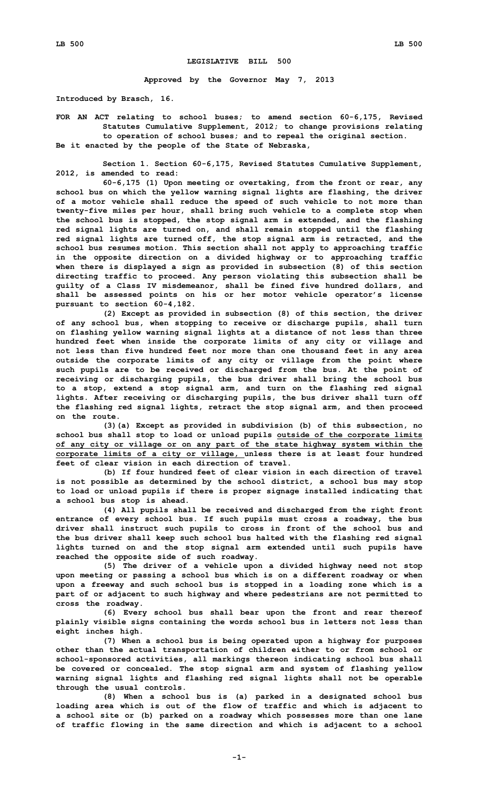## **LEGISLATIVE BILL 500**

**Approved by the Governor May 7, 2013**

**Introduced by Brasch, 16.**

**FOR AN ACT relating to school buses; to amend section 60-6,175, Revised Statutes Cumulative Supplement, 2012; to change provisions relating to operation of school buses; and to repeal the original section. Be it enacted by the people of the State of Nebraska,**

**Section 1. Section 60-6,175, Revised Statutes Cumulative Supplement, 2012, is amended to read:**

**60-6,175 (1) Upon meeting or overtaking, from the front or rear, any school bus on which the yellow warning signal lights are flashing, the driver of <sup>a</sup> motor vehicle shall reduce the speed of such vehicle to not more than twenty-five miles per hour, shall bring such vehicle to <sup>a</sup> complete stop when the school bus is stopped, the stop signal arm is extended, and the flashing red signal lights are turned on, and shall remain stopped until the flashing red signal lights are turned off, the stop signal arm is retracted, and the school bus resumes motion. This section shall not apply to approaching traffic in the opposite direction on <sup>a</sup> divided highway or to approaching traffic when there is displayed <sup>a</sup> sign as provided in subsection (8) of this section directing traffic to proceed. Any person violating this subsection shall be guilty of <sup>a</sup> Class IV misdemeanor, shall be fined five hundred dollars, and shall be assessed points on his or her motor vehicle operator's license pursuant to section 60-4,182.**

**(2) Except as provided in subsection (8) of this section, the driver of any school bus, when stopping to receive or discharge pupils, shall turn on flashing yellow warning signal lights at <sup>a</sup> distance of not less than three hundred feet when inside the corporate limits of any city or village and not less than five hundred feet nor more than one thousand feet in any area outside the corporate limits of any city or village from the point where such pupils are to be received or discharged from the bus. At the point of receiving or discharging pupils, the bus driver shall bring the school bus to <sup>a</sup> stop, extend <sup>a</sup> stop signal arm, and turn on the flashing red signal lights. After receiving or discharging pupils, the bus driver shall turn off the flashing red signal lights, retract the stop signal arm, and then proceed on the route.**

**(3)(a) Except as provided in subdivision (b) of this subsection, no school bus shall stop to load or unload pupils outside of the corporate limits of any city or village or on any part of the state highway system within the corporate limits of <sup>a</sup> city or village, unless there is at least four hundred feet of clear vision in each direction of travel.**

**(b) If four hundred feet of clear vision in each direction of travel is not possible as determined by the school district, <sup>a</sup> school bus may stop to load or unload pupils if there is proper signage installed indicating that <sup>a</sup> school bus stop is ahead.**

**(4) All pupils shall be received and discharged from the right front entrance of every school bus. If such pupils must cross <sup>a</sup> roadway, the bus driver shall instruct such pupils to cross in front of the school bus and the bus driver shall keep such school bus halted with the flashing red signal lights turned on and the stop signal arm extended until such pupils have reached the opposite side of such roadway.**

**(5) The driver of <sup>a</sup> vehicle upon <sup>a</sup> divided highway need not stop upon meeting or passing <sup>a</sup> school bus which is on <sup>a</sup> different roadway or when upon <sup>a</sup> freeway and such school bus is stopped in <sup>a</sup> loading zone which is <sup>a</sup> part of or adjacent to such highway and where pedestrians are not permitted to cross the roadway.**

**(6) Every school bus shall bear upon the front and rear thereof plainly visible signs containing the words school bus in letters not less than eight inches high.**

**(7) When <sup>a</sup> school bus is being operated upon <sup>a</sup> highway for purposes other than the actual transportation of children either to or from school or school-sponsored activities, all markings thereon indicating school bus shall be covered or concealed. The stop signal arm and system of flashing yellow warning signal lights and flashing red signal lights shall not be operable through the usual controls.**

**(8) When <sup>a</sup> school bus is (a) parked in <sup>a</sup> designated school bus loading area which is out of the flow of traffic and which is adjacent to <sup>a</sup> school site or (b) parked on <sup>a</sup> roadway which possesses more than one lane of traffic flowing in the same direction and which is adjacent to <sup>a</sup> school**